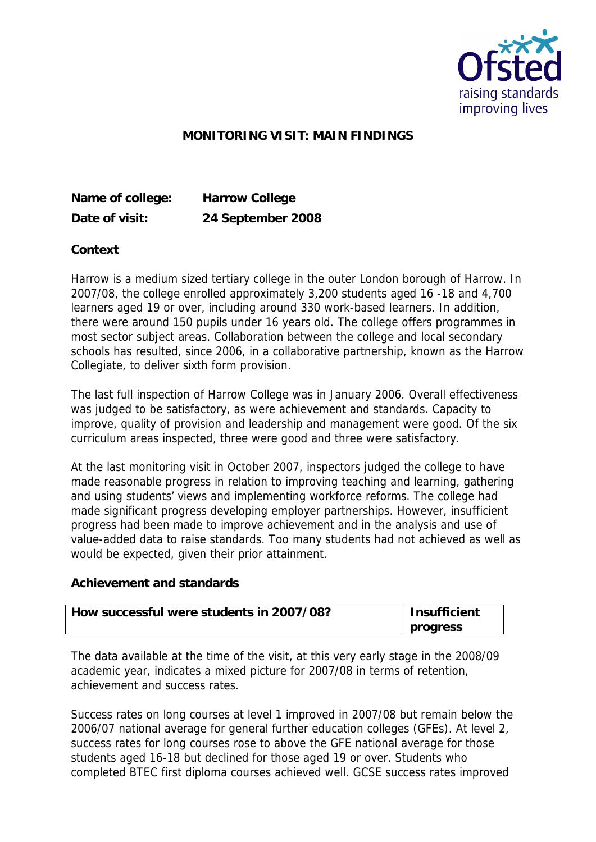

## **MONITORING VISIT: MAIN FINDINGS**

**Name of college: Harrow College Date of visit: 24 September 2008**

**Context**

Harrow is a medium sized tertiary college in the outer London borough of Harrow. In 2007/08, the college enrolled approximately 3,200 students aged 16 -18 and 4,700 learners aged 19 or over, including around 330 work-based learners. In addition, there were around 150 pupils under 16 years old. The college offers programmes in most sector subject areas. Collaboration between the college and local secondary schools has resulted, since 2006, in a collaborative partnership, known as the Harrow Collegiate, to deliver sixth form provision.

The last full inspection of Harrow College was in January 2006. Overall effectiveness was judged to be satisfactory, as were achievement and standards. Capacity to improve, quality of provision and leadership and management were good. Of the six curriculum areas inspected, three were good and three were satisfactory.

At the last monitoring visit in October 2007, inspectors judged the college to have made reasonable progress in relation to improving teaching and learning, gathering and using students' views and implementing workforce reforms. The college had made significant progress developing employer partnerships. However, insufficient progress had been made to improve achievement and in the analysis and use of value-added data to raise standards. Too many students had not achieved as well as would be expected, given their prior attainment.

**Achievement and standards** 

| How successful were students in 2007/08? | Insufficient |
|------------------------------------------|--------------|
|                                          | I progress   |

The data available at the time of the visit, at this very early stage in the 2008/09 academic year, indicates a mixed picture for 2007/08 in terms of retention, achievement and success rates.

Success rates on long courses at level 1 improved in 2007/08 but remain below the 2006/07 national average for general further education colleges (GFEs). At level 2, success rates for long courses rose to above the GFE national average for those students aged 16-18 but declined for those aged 19 or over. Students who completed BTEC first diploma courses achieved well. GCSE success rates improved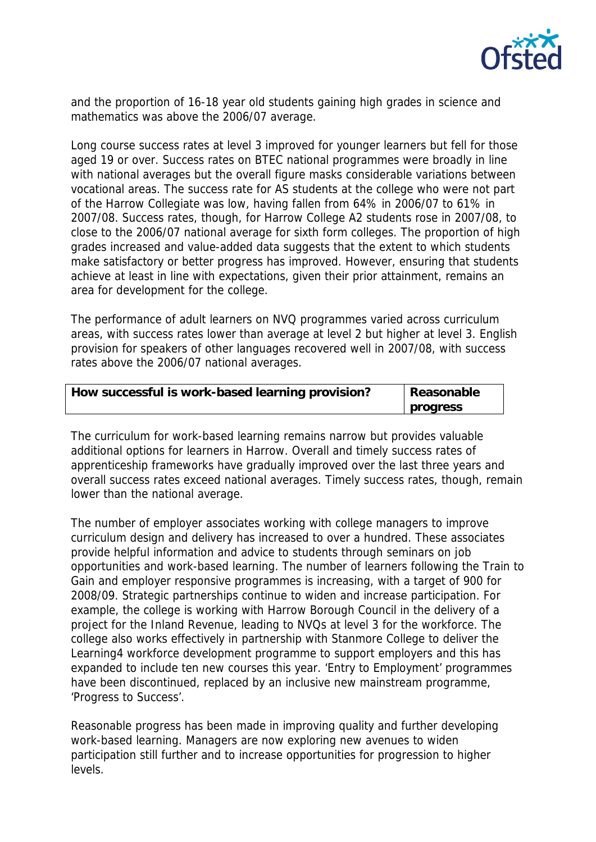

and the proportion of 16-18 year old students gaining high grades in science and mathematics was above the 2006/07 average.

Long course success rates at level 3 improved for younger learners but fell for those aged 19 or over. Success rates on BTEC national programmes were broadly in line with national averages but the overall figure masks considerable variations between vocational areas. The success rate for AS students at the college who were not part of the Harrow Collegiate was low, having fallen from 64% in 2006/07 to 61% in 2007/08. Success rates, though, for Harrow College A2 students rose in 2007/08, to close to the 2006/07 national average for sixth form colleges. The proportion of high grades increased and value-added data suggests that the extent to which students make satisfactory or better progress has improved. However, ensuring that students achieve at least in line with expectations, given their prior attainment, remains an area for development for the college.

The performance of adult learners on NVQ programmes varied across curriculum areas, with success rates lower than average at level 2 but higher at level 3. English provision for speakers of other languages recovered well in 2007/08, with success rates above the 2006/07 national averages.

| How successful is work-based learning provision? | Reasonable |
|--------------------------------------------------|------------|
|                                                  | progress   |

The curriculum for work-based learning remains narrow but provides valuable additional options for learners in Harrow. Overall and timely success rates of apprenticeship frameworks have gradually improved over the last three years and overall success rates exceed national averages. Timely success rates, though, remain lower than the national average.

The number of employer associates working with college managers to improve curriculum design and delivery has increased to over a hundred. These associates provide helpful information and advice to students through seminars on job opportunities and work-based learning. The number of learners following the Train to Gain and employer responsive programmes is increasing, with a target of 900 for 2008/09. Strategic partnerships continue to widen and increase participation. For example, the college is working with Harrow Borough Council in the delivery of a project for the Inland Revenue, leading to NVQs at level 3 for the workforce. The college also works effectively in partnership with Stanmore College to deliver the Learning4 workforce development programme to support employers and this has expanded to include ten new courses this year. 'Entry to Employment' programmes have been discontinued, replaced by an inclusive new mainstream programme, 'Progress to Success'.

Reasonable progress has been made in improving quality and further developing work-based learning. Managers are now exploring new avenues to widen participation still further and to increase opportunities for progression to higher levels.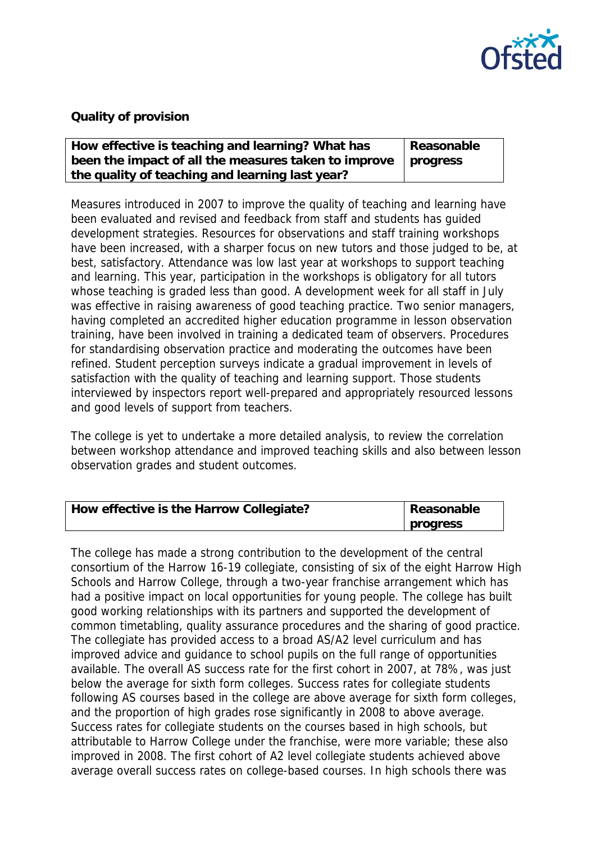

## **Quality of provision**

| How effective is teaching and learning? What has                      | Reasonable |
|-----------------------------------------------------------------------|------------|
| been the impact of all the measures taken to improve $\vert$ progress |            |
| the quality of teaching and learning last year?                       |            |

Measures introduced in 2007 to improve the quality of teaching and learning have been evaluated and revised and feedback from staff and students has guided development strategies. Resources for observations and staff training workshops have been increased, with a sharper focus on new tutors and those judged to be, at best, satisfactory. Attendance was low last year at workshops to support teaching and learning. This year, participation in the workshops is obligatory for all tutors whose teaching is graded less than good. A development week for all staff in July was effective in raising awareness of good teaching practice. Two senior managers, having completed an accredited higher education programme in lesson observation training, have been involved in training a dedicated team of observers. Procedures for standardising observation practice and moderating the outcomes have been refined. Student perception surveys indicate a gradual improvement in levels of satisfaction with the quality of teaching and learning support. Those students interviewed by inspectors report well-prepared and appropriately resourced lessons and good levels of support from teachers.

The college is yet to undertake a more detailed analysis, to review the correlation between workshop attendance and improved teaching skills and also between lesson observation grades and student outcomes.

| How effective is the Harrow Collegiate? | Reasonable |
|-----------------------------------------|------------|
|                                         | progress   |

The college has made a strong contribution to the development of the central consortium of the Harrow 16-19 collegiate, consisting of six of the eight Harrow High Schools and Harrow College, through a two-year franchise arrangement which has had a positive impact on local opportunities for young people. The college has built good working relationships with its partners and supported the development of common timetabling, quality assurance procedures and the sharing of good practice. The collegiate has provided access to a broad AS/A2 level curriculum and has improved advice and guidance to school pupils on the full range of opportunities available. The overall AS success rate for the first cohort in 2007, at 78%, was just below the average for sixth form colleges. Success rates for collegiate students following AS courses based in the college are above average for sixth form colleges, and the proportion of high grades rose significantly in 2008 to above average. Success rates for collegiate students on the courses based in high schools, but attributable to Harrow College under the franchise, were more variable; these also improved in 2008. The first cohort of A2 level collegiate students achieved above average overall success rates on college-based courses. In high schools there was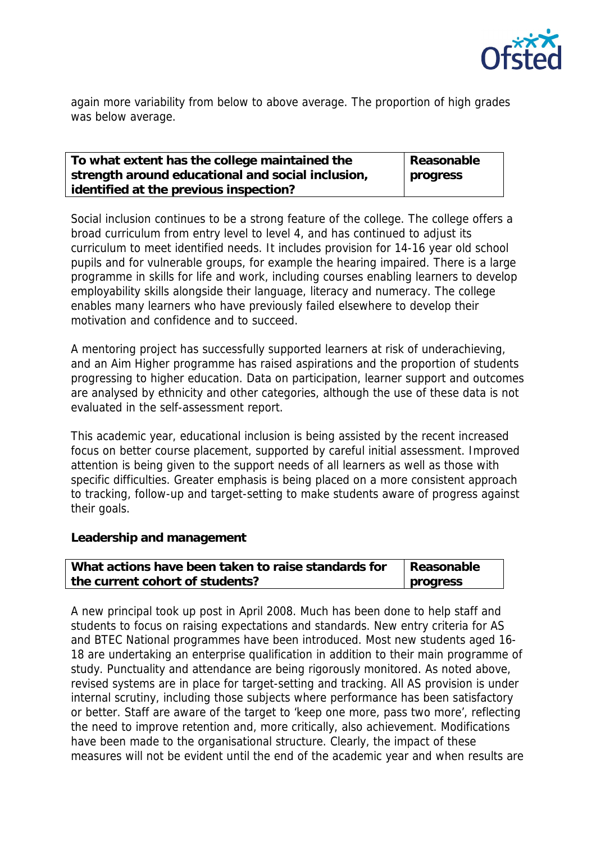

again more variability from below to above average. The proportion of high grades was below average.

| To what extent has the college maintained the     | Reasonable |
|---------------------------------------------------|------------|
| strength around educational and social inclusion, | progress   |
| identified at the previous inspection?            |            |

Social inclusion continues to be a strong feature of the college. The college offers a broad curriculum from entry level to level 4, and has continued to adjust its curriculum to meet identified needs. It includes provision for 14-16 year old school pupils and for vulnerable groups, for example the hearing impaired. There is a large programme in skills for life and work, including courses enabling learners to develop employability skills alongside their language, literacy and numeracy. The college enables many learners who have previously failed elsewhere to develop their motivation and confidence and to succeed.

A mentoring project has successfully supported learners at risk of underachieving, and an Aim Higher programme has raised aspirations and the proportion of students progressing to higher education. Data on participation, learner support and outcomes are analysed by ethnicity and other categories, although the use of these data is not evaluated in the self-assessment report.

This academic year, educational inclusion is being assisted by the recent increased focus on better course placement, supported by careful initial assessment. Improved attention is being given to the support needs of all learners as well as those with specific difficulties. Greater emphasis is being placed on a more consistent approach to tracking, follow-up and target-setting to make students aware of progress against their goals.

**Leadership and management**

| What actions have been taken to raise standards for | Reasonable |
|-----------------------------------------------------|------------|
| the current cohort of students?                     | progress   |

A new principal took up post in April 2008. Much has been done to help staff and students to focus on raising expectations and standards. New entry criteria for AS and BTEC National programmes have been introduced. Most new students aged 16- 18 are undertaking an enterprise qualification in addition to their main programme of study. Punctuality and attendance are being rigorously monitored. As noted above, revised systems are in place for target-setting and tracking. All AS provision is under internal scrutiny, including those subjects where performance has been satisfactory or better. Staff are aware of the target to 'keep one more, pass two more', reflecting the need to improve retention and, more critically, also achievement. Modifications have been made to the organisational structure. Clearly, the impact of these measures will not be evident until the end of the academic year and when results are